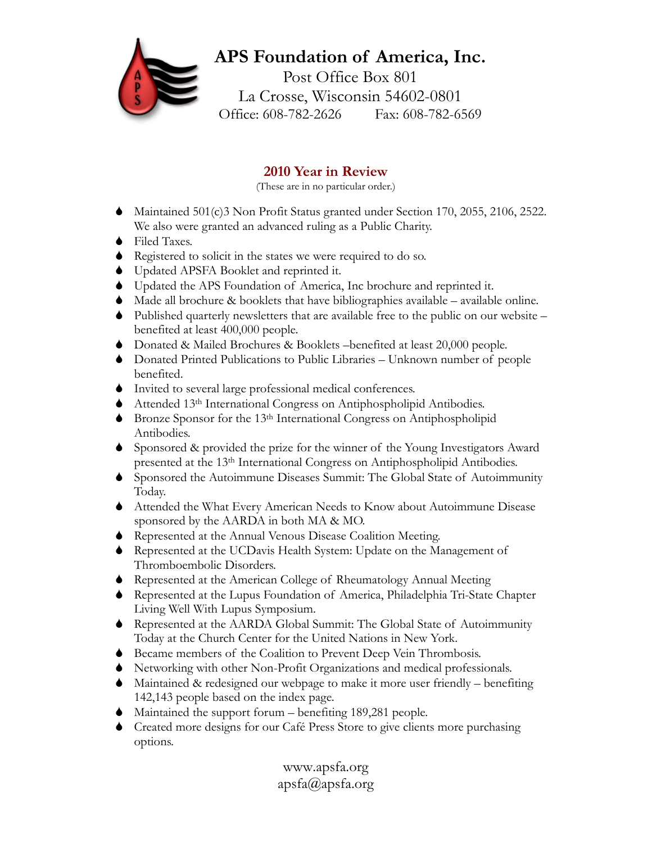## **APS Foundation of America, Inc.**  Post Office Box 801 La Crosse, Wisconsin 54602-0801 Office: 608-782-2626 Fax: 608-782-6569

## **2010 Year in Review**

(These are in no particular order.)

- 6 Maintained 501(c)3 Non Profit Status granted under Section 170, 2055, 2106, 2522. We also were granted an advanced ruling as a Public Charity.
- 6 Filed Taxes.
- 6 Registered to solicit in the states we were required to do so.
- 6 Updated APSFA Booklet and reprinted it.
- 6 Updated the APS Foundation of America, Inc brochure and reprinted it.
- Made all brochure  $\&$  booklets that have bibliographies available available online.
- 6 Published quarterly newsletters that are available free to the public on our website benefited at least 400,000 people.
- 6 Donated & Mailed Brochures & Booklets –benefited at least 20,000 people.
- 6 Donated Printed Publications to Public Libraries Unknown number of people benefited.
- 6 Invited to several large professional medical conferences.
- 6 Attended 13th International Congress on Antiphospholipid Antibodies.
- 6 Bronze Sponsor for the 13th International Congress on Antiphospholipid Antibodies.
- 6 Sponsored & provided the prize for the winner of the Young Investigators Award presented at the 13th International Congress on Antiphospholipid Antibodies.
- 6 Sponsored the Autoimmune Diseases Summit: The Global State of Autoimmunity Today.
- 6 Attended the What Every American Needs to Know about Autoimmune Disease sponsored by the AARDA in both MA & MO.
- 6 Represented at the Annual Venous Disease Coalition Meeting.
- 6 Represented at the UCDavis Health System: Update on the Management of Thromboembolic Disorders.
- 6 Represented at the American College of Rheumatology Annual Meeting
- 6 Represented at the Lupus Foundation of America, Philadelphia Tri-State Chapter Living Well With Lupus Symposium.
- 6 Represented at the AARDA Global Summit: The Global State of Autoimmunity Today at the Church Center for the United Nations in New York.
- 6 Became members of the Coalition to Prevent Deep Vein Thrombosis.
- 6 Networking with other Non-Profit Organizations and medical professionals.
- 6 Maintained & redesigned our webpage to make it more user friendly benefiting 142,143 people based on the index page.
- 6 Maintained the support forum benefiting 189,281 people.
- 6 Created more designs for our Café Press Store to give clients more purchasing options.

www.apsfa.org apsfa@apsfa.org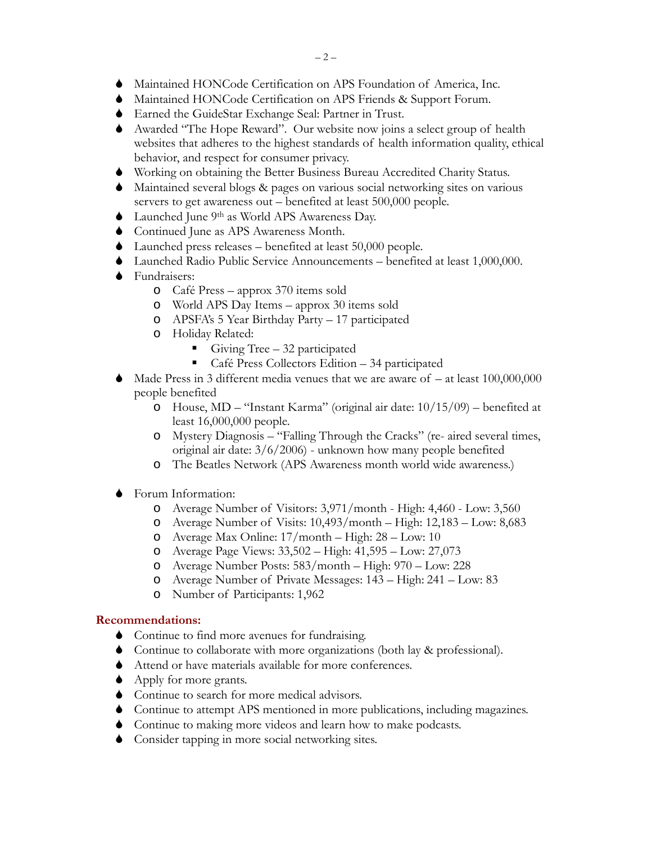- 6 Maintained HONCode Certification on APS Foundation of America, Inc.
- 6 Maintained HONCode Certification on APS Friends & Support Forum.
- 6 Earned the GuideStar Exchange Seal: Partner in Trust.
- 6 Awarded "The Hope Reward". Our website now joins a select group of health websites that adheres to the highest standards of health information quality, ethical behavior, and respect for consumer privacy.
- 6 Working on obtaining the Better Business Bureau Accredited Charity Status.
- 6 Maintained several blogs & pages on various social networking sites on various servers to get awareness out – benefited at least 500,000 people.
- 6 Launched June 9th as World APS Awareness Day.
- 6 Continued June as APS Awareness Month.
- 6 Launched press releases benefited at least 50,000 people.
- 6 Launched Radio Public Service Announcements benefited at least 1,000,000.
- 6 Fundraisers:
	- o Café Press approx 370 items sold
	- o World APS Day Items approx 30 items sold
	- o APSFA's 5 Year Birthday Party 17 participated
	- o Holiday Related:
		- Giving Tree  $-32$  participated
		- Café Press Collectors Edition 34 participated
- Made Press in 3 different media venues that we are aware of  $-$  at least 100,000,000 people benefited
	- o House, MD "Instant Karma" (original air date: 10/15/09) benefited at least 16,000,000 people.
	- o Mystery Diagnosis "Falling Through the Cracks" (re- aired several times, original air date: 3/6/2006) - unknown how many people benefited
	- o The Beatles Network (APS Awareness month world wide awareness.)
- 6 Forum Information:
	- o Average Number of Visitors: 3,971/month High: 4,460 Low: 3,560
	- o Average Number of Visits: 10,493/month High: 12,183 Low: 8,683
	- o Average Max Online: 17/month High: 28 Low: 10
	- o Average Page Views: 33,502 High: 41,595 Low: 27,073
	- o Average Number Posts: 583/month High: 970 Low: 228
	- o Average Number of Private Messages: 143 High: 241 Low: 83
	- o Number of Participants: 1,962

### **Recommendations:**

- 6 Continue to find more avenues for fundraising.
- 6 Continue to collaborate with more organizations (both lay & professional).
- 6 Attend or have materials available for more conferences.
- 6 Apply for more grants.
- 6 Continue to search for more medical advisors.
- 6 Continue to attempt APS mentioned in more publications, including magazines.
- 6 Continue to making more videos and learn how to make podcasts.
- 6 Consider tapping in more social networking sites.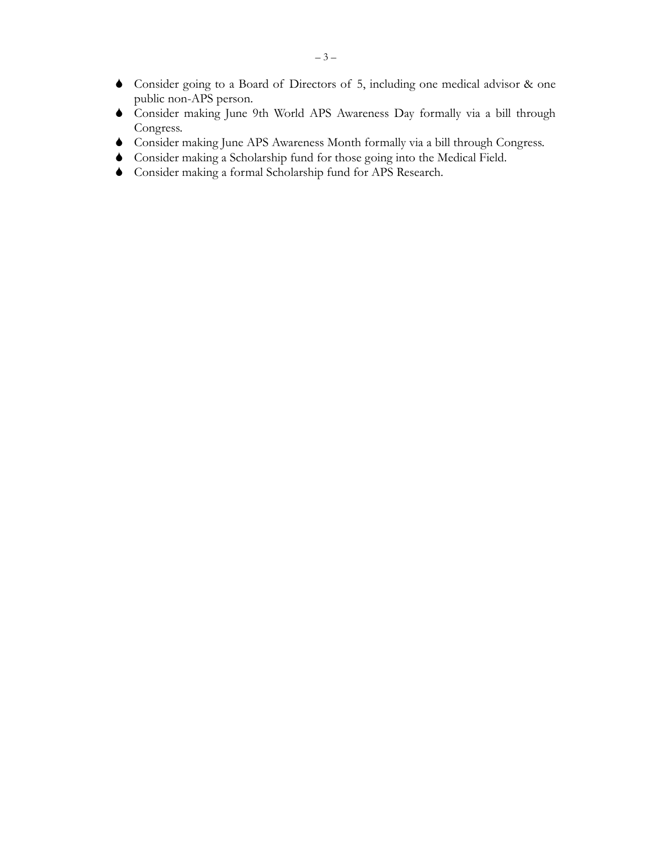- Consider going to a Board of Directors of 5, including one medical advisor & one public non-APS person.
- Consider making June 9th World APS Awareness Day formally via a bill through Congress.
- Consider making June APS Awareness Month formally via a bill through Congress.
- Consider making a Scholarship fund for those going into the Medical Field.
- Consider making a formal Scholarship fund for APS Research.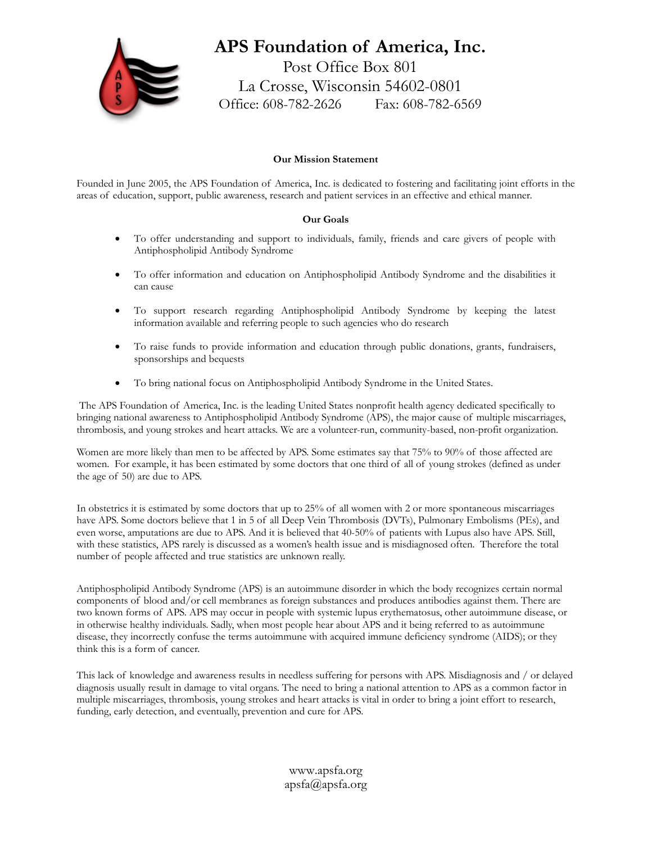

## **APS Foundation of America, Inc.**

Post Office Box 801 La Crosse, Wisconsin 54602-0801 Office: 608-782-2626 Fax: 608-782-6569

#### **Our Mission Statement**

Founded in June 2005, the APS Foundation of America, Inc. is dedicated to fostering and facilitating joint efforts in the areas of education, support, public awareness, research and patient services in an effective and ethical manner.

#### **Our Goals**

- To offer understanding and support to individuals, family, friends and care givers of people with Antiphospholipid Antibody Syndrome
- To offer information and education on Antiphospholipid Antibody Syndrome and the disabilities it can cause
- To support research regarding Antiphospholipid Antibody Syndrome by keeping the latest information available and referring people to such agencies who do research
- To raise funds to provide information and education through public donations, grants, fundraisers, sponsorships and bequests
- To bring national focus on Antiphospholipid Antibody Syndrome in the United States.

 The APS Foundation of America, Inc. is the leading United States nonprofit health agency dedicated specifically to bringing national awareness to Antiphospholipid Antibody Syndrome (APS), the major cause of multiple miscarriages, thrombosis, and young strokes and heart attacks. We are a volunteer-run, community-based, non-profit organization.

Women are more likely than men to be affected by APS. Some estimates say that 75% to 90% of those affected are women. For example, it has been estimated by some doctors that one third of all of young strokes (defined as under the age of 50) are due to APS.

In obstetrics it is estimated by some doctors that up to 25% of all women with 2 or more spontaneous miscarriages have APS. Some doctors believe that 1 in 5 of all Deep Vein Thrombosis (DVTs), Pulmonary Embolisms (PEs), and even worse, amputations are due to APS. And it is believed that 40-50% of patients with Lupus also have APS. Still, with these statistics, APS rarely is discussed as a women's health issue and is misdiagnosed often. Therefore the total number of people affected and true statistics are unknown really.

Antiphospholipid Antibody Syndrome (APS) is an autoimmune disorder in which the body recognizes certain normal components of blood and/or cell membranes as foreign substances and produces antibodies against them. There are two known forms of APS. APS may occur in people with systemic lupus erythematosus, other autoimmune disease, or in otherwise healthy individuals. Sadly, when most people hear about APS and it being referred to as autoimmune disease, they incorrectly confuse the terms autoimmune with acquired immune deficiency syndrome (AIDS); or they think this is a form of cancer.

This lack of knowledge and awareness results in needless suffering for persons with APS. Misdiagnosis and / or delayed diagnosis usually result in damage to vital organs. The need to bring a national attention to APS as a common factor in multiple miscarriages, thrombosis, young strokes and heart attacks is vital in order to bring a joint effort to research, funding, early detection, and eventually, prevention and cure for APS.

> www.apsfa.org apsfa@apsfa.org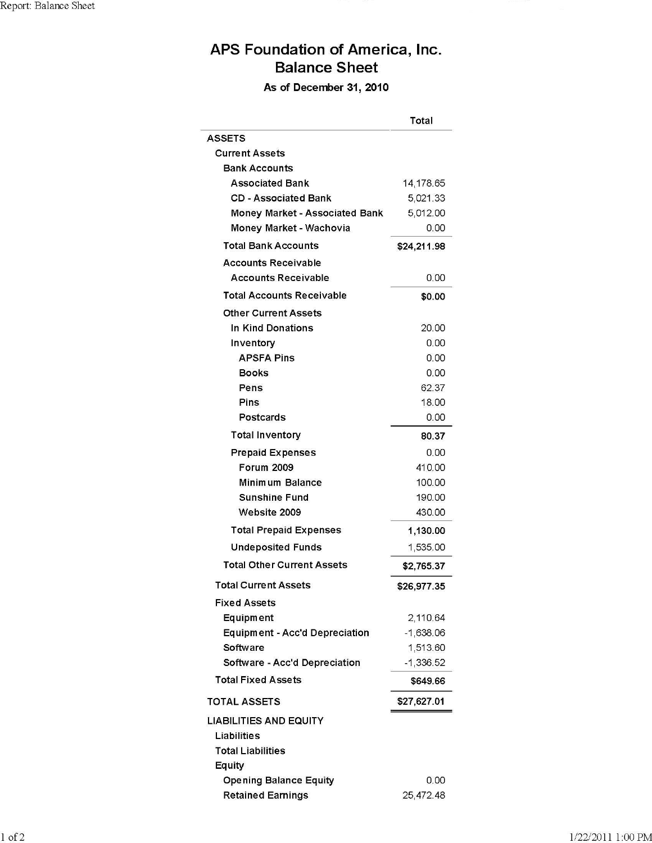# APS Foundation of America, Inc. **Balance Sheet**

As of December 31, 2010

|                                       | Total       |
|---------------------------------------|-------------|
| <b>ASSETS</b>                         |             |
| <b>Current Assets</b>                 |             |
| <b>Bank Accounts</b>                  |             |
| <b>Associated Bank</b>                | 14,178.65   |
| <b>CD - Associated Bank</b>           | 5,021.33    |
| <b>Money Market - Associated Bank</b> | 5,012.00    |
| Money Market - Wachovia               | 0.00        |
| <b>Total Bank Accounts</b>            | \$24,211.98 |
| <b>Accounts Receivable</b>            |             |
| <b>Accounts Receivable</b>            | 0.00        |
| <b>Total Accounts Receivable</b>      | \$0.00      |
| <b>Other Current Assets</b>           |             |
| In Kind Donations                     | 20.00       |
| Inventory                             | 0.00        |
| <b>APSFA Pins</b>                     | 0.00        |
| <b>Books</b>                          | 0.00        |
| Pens                                  | 62.37       |
| Pins                                  | 18.00       |
| Postcards                             | 0.00        |
| <b>Total Inventory</b>                | 80.37       |
| <b>Prepaid Expenses</b>               | 0.00        |
| <b>Forum 2009</b>                     | 410.00      |
| Minimum Balance                       | 100.00      |
| <b>Sunshine Fund</b>                  | 190.00      |
| Website 2009                          | 430.00      |
| <b>Total Prepaid Expenses</b>         | 1,130.00    |
| <b>Undeposited Funds</b>              | 1,535.00    |
| <b>Total Other Current Assets</b>     | \$2,765.37  |
| <b>Total Current Assets</b>           | \$26,977.35 |
| <b>Fixed Assets</b>                   |             |
| Equipment                             | 2,110.64    |
| Equipment - Acc'd Depreciation        | -1,638.06   |
| Software                              | 1,513.60    |
| Software - Acc'd Depreciation         | -1,336.52   |
| <b>Total Fixed Assets</b>             | \$649.66    |
| <b>TOTAL ASSETS</b>                   | \$27,627.01 |
| <b>LIABILITIES AND EQUITY</b>         |             |
| Liabilities                           |             |
| <b>Total Liabilities</b>              |             |
| Equity                                |             |
| <b>Opening Balance Equity</b>         | 0.00        |
| <b>Retained Earnings</b>              | 25,472.48   |